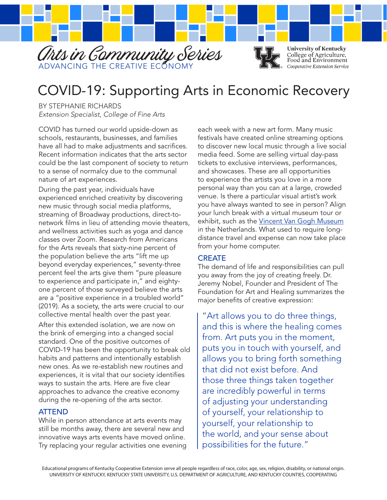

# COVID-19: Supporting Arts in Economic Recovery

BY STEPHANIE RICHARDS *Extension Specialist, College of Fine Arts*

COVID has turned our world upside-down as schools, restaurants, businesses, and families have all had to make adjustments and sacrifices. Recent information indicates that the arts sector could be the last component of society to return to a sense of normalcy due to the communal nature of art experiences.

During the past year, individuals have experienced enriched creativity by discovering new music through social media platforms, streaming of Broadway productions, direct-tonetwork films in lieu of attending movie theaters, and wellness activities such as yoga and dance classes over Zoom. Research from Americans for the Arts reveals that sixty-nine percent of the population believe the arts "lift me up beyond everyday experiences," seventy-three percent feel the arts give them "pure pleasure to experience and participate in," and eightyone percent of those surveyed believe the arts are a "positive experience in a troubled world" (2019). As a society, the arts were crucial to our collective mental health over the past year.

After this extended isolation, we are now on the brink of emerging into a changed social standard. One of the positive outcomes of COVID-19 has been the opportunity to break old habits and patterns and intentionally establish new ones. As we re-establish new routines and experiences, it is vital that our society identifies ways to sustain the arts. Here are five clear approaches to advance the creative economy during the re-opening of the arts sector.

#### ATTEND

While in person attendance at arts events may still be months away, there are several new and innovative ways arts events have moved online. Try replacing your regular activities one evening each week with a new art form. Many music festivals have created online streaming options to discover new local music through a live social media feed. Some are selling virtual day-pass tickets to exclusive interviews, performances, and showcases. These are all opportunities to experience the artists you love in a more personal way than you can at a large, crowded venue. Is there a particular visual artist's work you have always wanted to see in person? Align your lunch break with a virtual museum tour or exhibit, such as the Vincent Van Gogh Museum in the Netherlands. What used to require longdistance travel and expense can now take place from your home computer.

#### **CREATE**

The demand of life and responsibilities can pull you away from the joy of creating freely. Dr. Jeremy Nobel, Founder and President of The Foundation for Art and Healing summarizes the major benefits of creative expression:

"Art allows you to do three things, and this is where the healing comes from. Art puts you in the moment, puts you in touch with yourself, and allows you to bring forth something that did not exist before. And those three things taken together are incredibly powerful in terms of adjusting your understanding of yourself, your relationship to yourself, your relationship to the world, and your sense about possibilities for the future."